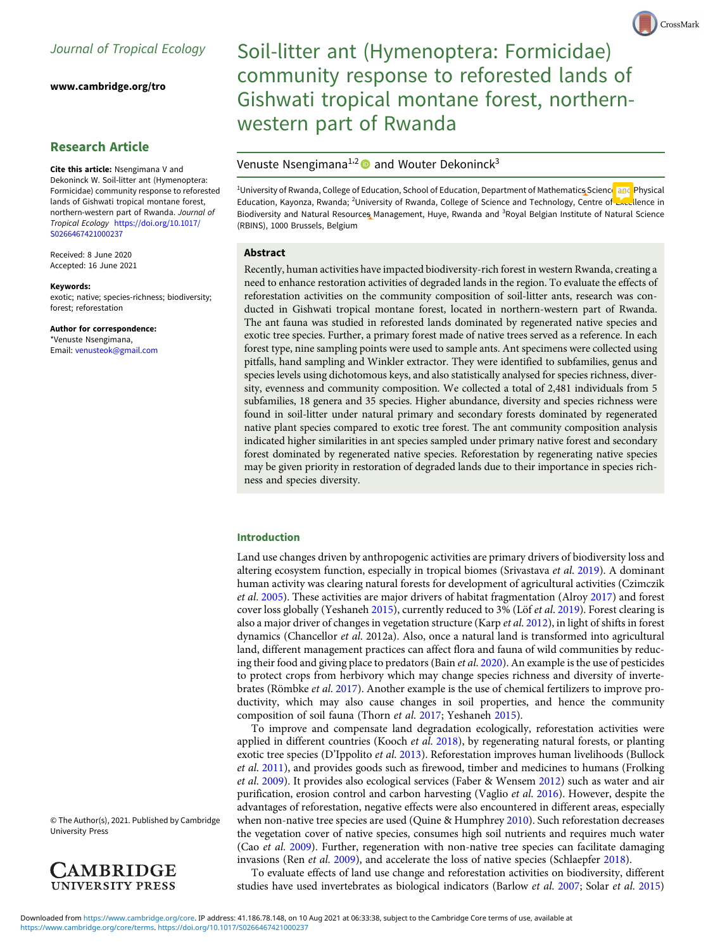[www.cambridge.org/tro](https://www.cambridge.org/tro)

# Research Article

Cite this article: Nsengimana V and Dekoninck W. Soil-litter ant (Hymenoptera: Formicidae) community response to reforested lands of Gishwati tropical montane forest, northern-western part of Rwanda. Journal of Tropical Ecology [https://doi.org/10.1017/](https://doi.org/10.1017/S0266467421000237) [S0266467421000237](https://doi.org/10.1017/S0266467421000237)

Received: 8 June 2020 Accepted: 16 June 2021

#### Keywords:

exotic; native; species-richness; biodiversity; forest; reforestation

Author for correspondence: \*Venuste Nsengimana, Email: [venusteok@gmail.com](mailto:venusteok@gmail.com)

© The Author(s), 2021. Published by Cambridge University Press



# Soil-litter ant (Hymenoptera: Formicidae) community response to reforested lands of Gishwati tropical montane forest, northernwestern part of Rwanda

# Venuste Nsengimana<sup>1,2</sup> and Wouter Dekoninck<sup>3</sup>

**<sup>1</sup>University of Rwanda, College of Education, School of Education, Department of Mathematics Science and Physical** Education, Kayonza, Rwanda; <sup>2</sup>University of Rwanda, College of Science and Technology, Centre of *Excellence in* Biodiversity and Natural Resources Management, Huye, Rwanda and <sup>3</sup>Royal Belgian Institute of Natural Science (RBINS), 1000 Brussels, Belgium

## Abstract

Recently, human activities have impacted biodiversity-rich forest in western Rwanda, creating a need to enhance restoration activities of degraded lands in the region. To evaluate the effects of reforestation activities on the community composition of soil-litter ants, research was conducted in Gishwati tropical montane forest, located in northern-western part of Rwanda. The ant fauna was studied in reforested lands dominated by regenerated native species and exotic tree species. Further, a primary forest made of native trees served as a reference. In each forest type, nine sampling points were used to sample ants. Ant specimens were collected using pitfalls, hand sampling and Winkler extractor. They were identified to subfamilies, genus and species levels using dichotomous keys, and also statistically analysed for species richness, diversity, evenness and community composition. We collected a total of 2,481 individuals from 5 subfamilies, 18 genera and 35 species. Higher abundance, diversity and species richness were found in soil-litter under natural primary and secondary forests dominated by regenerated native plant species compared to exotic tree forest. The ant community composition analysis indicated higher similarities in ant species sampled under primary native forest and secondary forest dominated by regenerated native species. Reforestation by regenerating native species may be given priority in restoration of degraded lands due to their importance in species richness and species diversity.

#### Introduction

Land use changes driven by anthropogenic activities are primary drivers of biodiversity loss and altering ecosystem function, especially in tropical biomes (Srivastava et al. [2019\)](#page-8-0). A dominant human activity was clearing natural forests for development of agricultural activities (Czimczik et al. [2005\)](#page-7-0). These activities are major drivers of habitat fragmentation (Alroy [2017\)](#page-6-0) and forest cover loss globally (Yeshaneh [2015\)](#page-9-0), currently reduced to 3% (Löf et al. [2019](#page-8-0)). Forest clearing is also a major driver of changes in vegetation structure (Karp et al. [2012\)](#page-8-0), in light of shifts in forest dynamics (Chancellor et al. 2012a). Also, once a natural land is transformed into agricultural land, different management practices can affect flora and fauna of wild communities by reduc-ing their food and giving place to predators (Bain et al. [2020\)](#page-6-0). An example is the use of pesticides to protect crops from herbivory which may change species richness and diversity of invertebrates (Römbke et al. [2017\)](#page-8-0). Another example is the use of chemical fertilizers to improve productivity, which may also cause changes in soil properties, and hence the community composition of soil fauna (Thorn et al. [2017;](#page-8-0) Yeshaneh [2015](#page-9-0)).

To improve and compensate land degradation ecologically, reforestation activities were applied in different countries (Kooch et al. [2018\)](#page-8-0), by regenerating natural forests, or planting exotic tree species (D'Ippolito et al. [2013\)](#page-7-0). Reforestation improves human livelihoods (Bullock et al. [2011](#page-7-0)), and provides goods such as firewood, timber and medicines to humans (Frolking et al. [2009](#page-7-0)). It provides also ecological services (Faber & Wensem [2012](#page-7-0)) such as water and air purification, erosion control and carbon harvesting (Vaglio et al. [2016\)](#page-9-0). However, despite the advantages of reforestation, negative effects were also encountered in different areas, especially when non-native tree species are used (Quine & Humphrey [2010\)](#page-8-0). Such reforestation decreases the vegetation cover of native species, consumes high soil nutrients and requires much water (Cao et al. [2009](#page-7-0)). Further, regeneration with non-native tree species can facilitate damaging invasions (Ren *et al.* [2009](#page-8-0)), and accelerate the loss of native species (Schlaepfer [2018\)](#page-8-0).

To evaluate effects of land use change and reforestation activities on biodiversity, different studies have used invertebrates as biological indicators (Barlow et al. [2007](#page-6-0); Solar et al. [2015\)](#page-8-0)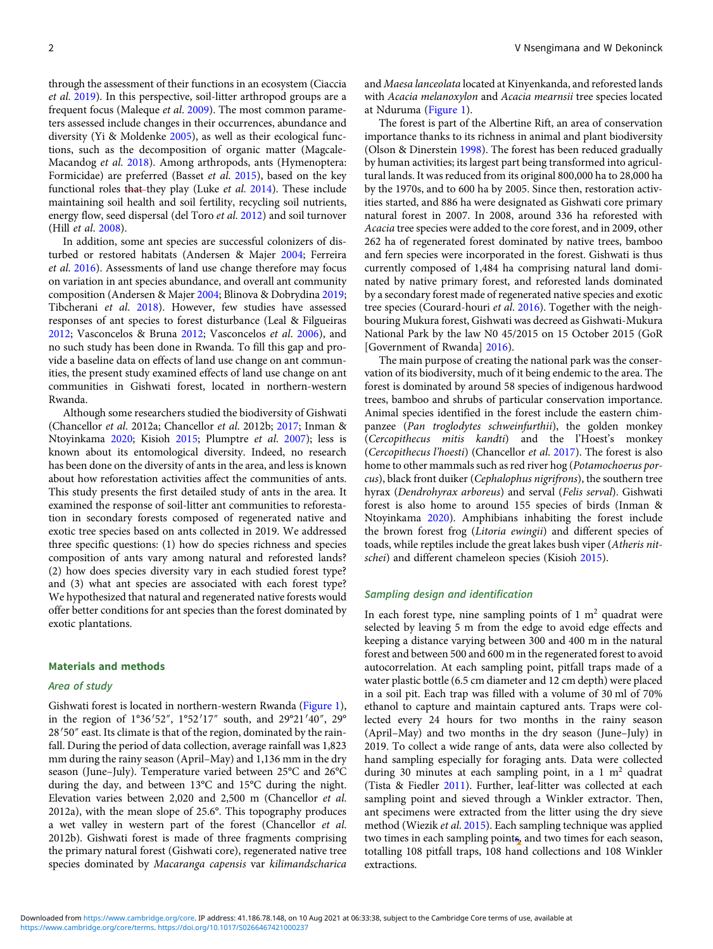through the assessment of their functions in an ecosystem (Ciaccia et al. [2019](#page-7-0)). In this perspective, soil-litter arthropod groups are a frequent focus (Maleque et al. [2009\)](#page-8-0). The most common parameters assessed include changes in their occurrences, abundance and diversity (Yi & Moldenke [2005](#page-9-0)), as well as their ecological functions, such as the decomposition of organic matter (Magcale-Macandog et al. [2018](#page-8-0)). Among arthropods, ants (Hymenoptera: Formicidae) are preferred (Basset et al. [2015](#page-6-0)), based on the key functional roles that they play (Luke et al. [2014](#page-8-0)). These include maintaining soil health and soil fertility, recycling soil nutrients, energy flow, seed dispersal (del Toro et al. [2012](#page-7-0)) and soil turnover (Hill et al. [2008\)](#page-7-0).

In addition, some ant species are successful colonizers of disturbed or restored habitats (Andersen & Majer [2004](#page-6-0); Ferreira et al. [2016](#page-7-0)). Assessments of land use change therefore may focus on variation in ant species abundance, and overall ant community composition (Andersen & Majer [2004;](#page-6-0) Blinova & Dobrydina [2019](#page-6-0); Tibcherani et al. [2018](#page-8-0)). However, few studies have assessed responses of ant species to forest disturbance (Leal & Filgueiras [2012;](#page-8-0) Vasconcelos & Bruna [2012;](#page-9-0) Vasconcelos et al. [2006](#page-9-0)), and no such study has been done in Rwanda. To fill this gap and provide a baseline data on effects of land use change on ant communities, the present study examined effects of land use change on ant communities in Gishwati forest, located in northern-western Rwanda.

Although some researchers studied the biodiversity of Gishwati (Chancellor et al. 2012a; Chancellor et al. 2012b; [2017](#page-7-0); Inman & Ntoyinkama [2020;](#page-7-0) Kisioh [2015](#page-8-0); Plumptre et al. [2007\)](#page-8-0); less is known about its entomological diversity. Indeed, no research has been done on the diversity of ants in the area, and less is known about how reforestation activities affect the communities of ants. This study presents the first detailed study of ants in the area. It examined the response of soil-litter ant communities to reforestation in secondary forests composed of regenerated native and exotic tree species based on ants collected in 2019. We addressed three specific questions: (1) how do species richness and species composition of ants vary among natural and reforested lands? (2) how does species diversity vary in each studied forest type? and (3) what ant species are associated with each forest type? We hypothesized that natural and regenerated native forests would offer better conditions for ant species than the forest dominated by exotic plantations.

#### Materials and methods

## Area of study

Gishwati forest is located in northern-western Rwanda [\(Figure 1](#page-2-0)), Gishwati forest is located in northern-western Rwanda (Figure 1),<br>in the region of 1°36'52", 1°52'17" south, and 29°21'40", 29° 28'50" east. Its climate is that of the region, dominated by the rainthe region of  $1^{\circ}36'52''$ ,  $1^{\circ}52'17''$  south, and  $29^{\circ}21'40''$ ,  $29^{\circ}$ <br>50″ east. Its climate is that of the region, dominated by the rainfall. During the period of data collection, average rainfall was 1,823 mm during the rainy season (April–May) and 1,136 mm in the dry season (June–July). Temperature varied between 25°C and 26°C during the day, and between 13°C and 15°C during the night. Elevation varies between 2,020 and 2,500 m (Chancellor et al. 2012a), with the mean slope of 25.6°. This topography produces a wet valley in western part of the forest (Chancellor et al. 2012b). Gishwati forest is made of three fragments comprising the primary natural forest (Gishwati core), regenerated native tree species dominated by Macaranga capensis var kilimandscharica

and Maesa lanceolata located at Kinyenkanda, and reforested lands with Acacia melanoxylon and Acacia mearnsii tree species located at Nduruma ([Figure 1](#page-2-0)).

The forest is part of the Albertine Rift, an area of conservation importance thanks to its richness in animal and plant biodiversity (Olson & Dinerstein [1998](#page-8-0)). The forest has been reduced gradually by human activities; its largest part being transformed into agricultural lands. It was reduced from its original 800,000 ha to 28,000 ha by the 1970s, and to 600 ha by 2005. Since then, restoration activities started, and 886 ha were designated as Gishwati core primary natural forest in 2007. In 2008, around 336 ha reforested with Acacia tree species were added to the core forest, and in 2009, other 262 ha of regenerated forest dominated by native trees, bamboo and fern species were incorporated in the forest. Gishwati is thus currently composed of 1,484 ha comprising natural land dominated by native primary forest, and reforested lands dominated by a secondary forest made of regenerated native species and exotic tree species (Courard-houri et al. [2016\)](#page-7-0). Together with the neighbouring Mukura forest, Gishwati was decreed as Gishwati-Mukura National Park by the law N0 45/2015 on 15 October 2015 (GoR [Government of Rwanda] [2016](#page-7-0)).

The main purpose of creating the national park was the conservation of its biodiversity, much of it being endemic to the area. The forest is dominated by around 58 species of indigenous hardwood trees, bamboo and shrubs of particular conservation importance. Animal species identified in the forest include the eastern chimpanzee (Pan troglodytes schweinfurthii), the golden monkey (Cercopithecus mitis kandti) and the l'Hoest's monkey (Cercopithecus l'hoesti) (Chancellor et al. [2017\)](#page-7-0). The forest is also home to other mammals such as red river hog (Potamochoerus porcus), black front duiker (Cephalophus nigrifrons), the southern tree hyrax (Dendrohyrax arboreus) and serval (Felis serval). Gishwati forest is also home to around 155 species of birds (Inman & Ntoyinkama [2020](#page-7-0)). Amphibians inhabiting the forest include the brown forest frog (Litoria ewingii) and different species of toads, while reptiles include the great lakes bush viper (Atheris nitschei) and different chameleon species (Kisioh [2015\)](#page-8-0).

#### Sampling design and identification

In each forest type, nine sampling points of  $1 \text{ m}^2$  quadrat were selected by leaving 5 m from the edge to avoid edge effects and keeping a distance varying between 300 and 400 m in the natural forest and between 500 and 600 m in the regenerated forest to avoid autocorrelation. At each sampling point, pitfall traps made of a water plastic bottle (6.5 cm diameter and 12 cm depth) were placed in a soil pit. Each trap was filled with a volume of 30 ml of 70% ethanol to capture and maintain captured ants. Traps were collected every 24 hours for two months in the rainy season (April–May) and two months in the dry season (June–July) in 2019. To collect a wide range of ants, data were also collected by hand sampling especially for foraging ants. Data were collected during 30 minutes at each sampling point, in a 1  $m<sup>2</sup>$  quadrat (Tista & Fiedler [2011\)](#page-8-0). Further, leaf-litter was collected at each sampling point and sieved through a Winkler extractor. Then, ant specimens were extracted from the litter using the dry sieve method (Wiezik et al. [2015\)](#page-9-0). Each sampling technique was applied two times in each sampling points, and two times for each season, totalling 108 pitfall traps, 108 hand collections and 108 Winkler extractions.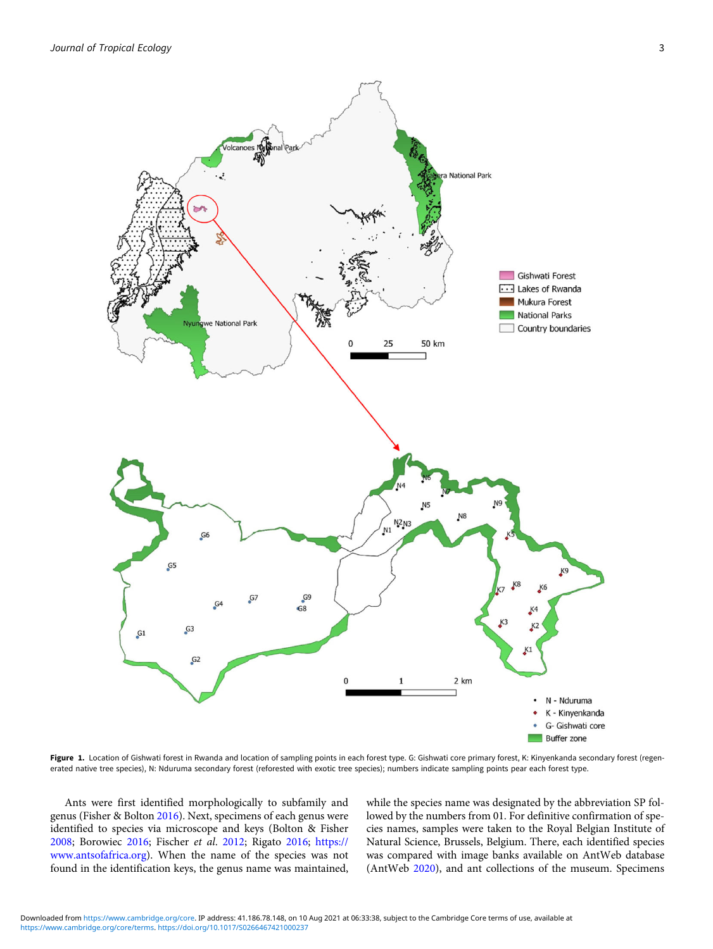<span id="page-2-0"></span>

Figure 1. Location of Gishwati forest in Rwanda and location of sampling points in each forest type. G: Gishwati core primary forest, K: Kinyenkanda secondary forest (regenerated native tree species), N: Nduruma secondary forest (reforested with exotic tree species); numbers indicate sampling points pear each forest type.

Ants were first identified morphologically to subfamily and genus (Fisher & Bolton [2016](#page-7-0)). Next, specimens of each genus were identified to species via microscope and keys (Bolton & Fisher [2008](#page-6-0); Borowiec [2016](#page-7-0); Fischer et al. [2012](#page-7-0); Rigato [2016](#page-8-0); [https://](https://www.antsofafrica.org) [www.antsofafrica.org](https://www.antsofafrica.org)). When the name of the species was not found in the identification keys, the genus name was maintained, while the species name was designated by the abbreviation SP followed by the numbers from 01. For definitive confirmation of species names, samples were taken to the Royal Belgian Institute of Natural Science, Brussels, Belgium. There, each identified species was compared with image banks available on AntWeb database (AntWeb [2020\)](#page-6-0), and ant collections of the museum. Specimens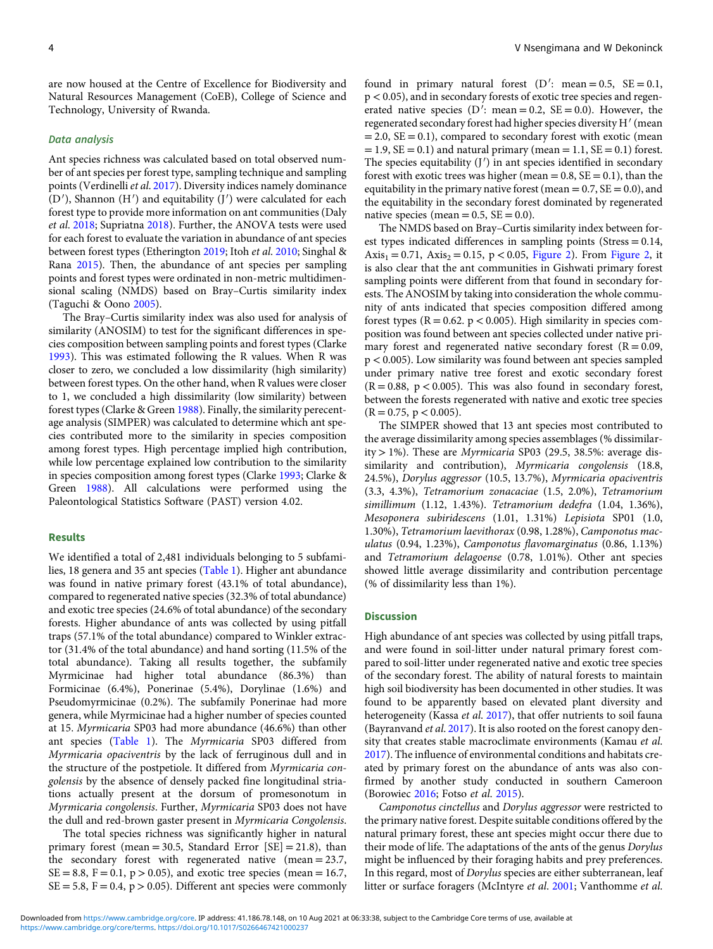are now housed at the Centre of Excellence for Biodiversity and Natural Resources Management (CoEB), College of Science and Technology, University of Rwanda.

## Data analysis

Ant species richness was calculated based on total observed number of ant species per forest type, sampling technique and sampling points (Verdinelli et al. [2017](#page-9-0)). Diversity indices namely dominance  $(D')$ , Shannon  $(H')$  and equitability  $(J')$  were calculated for each forest type to provide more information on ant communities (Daly et al. [2018](#page-7-0); Supriatna [2018](#page-8-0)). Further, the ANOVA tests were used for each forest to evaluate the variation in abundance of ant species between forest types (Etherington [2019](#page-7-0); Itoh et al. [2010](#page-7-0); Singhal & Rana [2015](#page-8-0)). Then, the abundance of ant species per sampling points and forest types were ordinated in non-metric multidimensional scaling (NMDS) based on Bray–Curtis similarity index (Taguchi & Oono [2005\)](#page-8-0).

The Bray–Curtis similarity index was also used for analysis of similarity (ANOSIM) to test for the significant differences in species composition between sampling points and forest types (Clarke [1993\)](#page-7-0). This was estimated following the R values. When R was closer to zero, we concluded a low dissimilarity (high similarity) between forest types. On the other hand, when R values were closer to 1, we concluded a high dissimilarity (low similarity) between forest types (Clarke & Green [1988](#page-7-0)). Finally, the similarity perecentage analysis (SIMPER) was calculated to determine which ant species contributed more to the similarity in species composition among forest types. High percentage implied high contribution, while low percentage explained low contribution to the similarity in species composition among forest types (Clarke [1993](#page-7-0); Clarke & Green [1988](#page-7-0)). All calculations were performed using the Paleontological Statistics Software (PAST) version 4.02.

#### Results

We identified a total of 2,481 individuals belonging to 5 subfamilies, 18 genera and 35 ant species ([Table 1\)](#page-4-0). Higher ant abundance was found in native primary forest (43.1% of total abundance), compared to regenerated native species (32.3% of total abundance) and exotic tree species (24.6% of total abundance) of the secondary forests. Higher abundance of ants was collected by using pitfall traps (57.1% of the total abundance) compared to Winkler extractor (31.4% of the total abundance) and hand sorting (11.5% of the total abundance). Taking all results together, the subfamily Myrmicinae had higher total abundance (86.3%) than Formicinae (6.4%), Ponerinae (5.4%), Dorylinae (1.6%) and Pseudomyrmicinae (0.2%). The subfamily Ponerinae had more genera, while Myrmicinae had a higher number of species counted at 15. Myrmicaria SP03 had more abundance (46.6%) than other ant species ([Table 1](#page-4-0)). The Myrmicaria SP03 differed from Myrmicaria opaciventris by the lack of ferruginous dull and in the structure of the postpetiole. It differed from Myrmicaria congolensis by the absence of densely packed fine longitudinal striations actually present at the dorsum of promesonotum in Myrmicaria congolensis. Further, Myrmicaria SP03 does not have the dull and red-brown gaster present in Myrmicaria Congolensis.

The total species richness was significantly higher in natural primary forest (mean = 30.5, Standard Error  $[SE] = 21.8$ ), than the secondary forest with regenerated native (mean = 23.7,  $SE = 8.8$ ,  $F = 0.1$ ,  $p > 0.05$ ), and exotic tree species (mean = 16.7,  $SE = 5.8$ ,  $F = 0.4$ ,  $p > 0.05$ ). Different ant species were commonly

found in primary natural forest  $(D')$ : mean = 0.5, SE = 0.1, p < 0.05), and in secondary forests of exotic tree species and regenerated native species (D': mean = 0.2,  $SE = 0.0$ ). However, the regenerated secondary forest had higher species diversity  $H'(mean)$  $= 2.0$ ,  $SE = 0.1$ ), compared to secondary forest with exotic (mean  $= 1.9$ ,  $SE = 0.1$ ) and natural primary (mean  $= 1.1$ ,  $SE = 0.1$ ) forest. The species equitability  $(J')$  in ant species identified in secondary forest with exotic trees was higher (mean  $= 0.8$ ,  $SE = 0.1$ ), than the equitability in the primary native forest (mean  $= 0.7$ ,  $SE = 0.0$ ), and the equitability in the secondary forest dominated by regenerated native species (mean  $= 0.5$ ,  $SE = 0.0$ ).

The NMDS based on Bray–Curtis similarity index between forest types indicated differences in sampling points (Stress = 0.14,  $Axis_1 = 0.71$ ,  $Axis_2 = 0.15$ ,  $p < 0.05$ , [Figure 2](#page-5-0)). From [Figure 2,](#page-5-0) it is also clear that the ant communities in Gishwati primary forest sampling points were different from that found in secondary forests. The ANOSIM by taking into consideration the whole community of ants indicated that species composition differed among forest types ( $R = 0.62$ .  $p < 0.005$ ). High similarity in species composition was found between ant species collected under native primary forest and regenerated native secondary forest  $(R = 0.09,$ p < 0.005). Low similarity was found between ant species sampled under primary native tree forest and exotic secondary forest  $(R = 0.88, p < 0.005)$ . This was also found in secondary forest, between the forests regenerated with native and exotic tree species  $(R = 0.75, p < 0.005)$ .

The SIMPER showed that 13 ant species most contributed to the average dissimilarity among species assemblages (% dissimilarity  $> 1\%$ ). These are *Myrmicaria* SP03 (29.5, 38.5%: average dissimilarity and contribution), Myrmicaria congolensis (18.8, 24.5%), Dorylus aggressor (10.5, 13.7%), Myrmicaria opaciventris (3.3, 4.3%), Tetramorium zonacaciae (1.5, 2.0%), Tetramorium simillimum (1.12, 1.43%). Tetramorium dedefra (1.04, 1.36%), Mesoponera subiridescens (1.01, 1.31%) Lepisiota SP01 (1.0, 1.30%), Tetramorium laevithorax (0.98, 1.28%), Camponotus maculatus (0.94, 1.23%), Camponotus flavomarginatus (0.86, 1.13%) and Tetramorium delagoense (0.78, 1.01%). Other ant species showed little average dissimilarity and contribution percentage (% of dissimilarity less than 1%).

# Discussion

High abundance of ant species was collected by using pitfall traps, and were found in soil-litter under natural primary forest compared to soil-litter under regenerated native and exotic tree species of the secondary forest. The ability of natural forests to maintain high soil biodiversity has been documented in other studies. It was found to be apparently based on elevated plant diversity and heterogeneity (Kassa et al. [2017](#page-8-0)), that offer nutrients to soil fauna (Bayranvand et al. [2017\)](#page-6-0). It is also rooted on the forest canopy density that creates stable macroclimate environments (Kamau et al. [2017\)](#page-7-0). The influence of environmental conditions and habitats created by primary forest on the abundance of ants was also confirmed by another study conducted in southern Cameroon (Borowiec [2016](#page-7-0); Fotso et al. [2015](#page-7-0)).

Camponotus cinctellus and Dorylus aggressor were restricted to the primary native forest. Despite suitable conditions offered by the natural primary forest, these ant species might occur there due to their mode of life. The adaptations of the ants of the genus Dorylus might be influenced by their foraging habits and prey preferences. In this regard, most of Dorylus species are either subterranean, leaf litter or surface foragers (McIntyre et al. [2001;](#page-8-0) Vanthomme et al.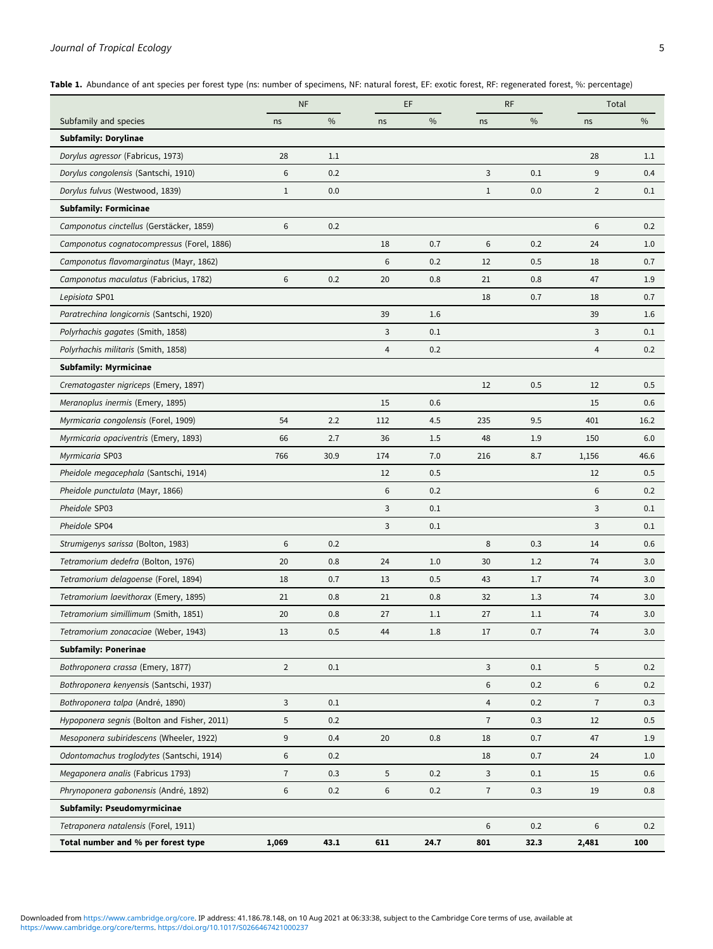# <span id="page-4-0"></span>Journal of Tropical Ecology 5

Table 1. Abundance of ant species per forest type (ns: number of specimens, NF: natural forest, EF: exotic forest, RF: regenerated forest, %: percentage)

|                                             | <b>NF</b>      |      |     | EF            |                | <b>RF</b>     |                | Total |  |
|---------------------------------------------|----------------|------|-----|---------------|----------------|---------------|----------------|-------|--|
| Subfamily and species                       | ns             | $\%$ | ns  | $\frac{0}{0}$ | ns             | $\frac{0}{0}$ | ns             | $\%$  |  |
| <b>Subfamily: Dorylinae</b>                 |                |      |     |               |                |               |                |       |  |
| Dorylus agressor (Fabricus, 1973)           | 28             | 1.1  |     |               |                |               | 28             | 1.1   |  |
| Dorylus congolensis (Santschi, 1910)        | 6              | 0.2  |     |               | 3              | 0.1           | 9              | 0.4   |  |
| Dorylus fulvus (Westwood, 1839)             | $\mathbf{1}$   | 0.0  |     |               | $\mathbf{1}$   | 0.0           | $\overline{2}$ | 0.1   |  |
| <b>Subfamily: Formicinae</b>                |                |      |     |               |                |               |                |       |  |
| Camponotus cinctellus (Gerstäcker, 1859)    | 6              | 0.2  |     |               |                |               | 6              | 0.2   |  |
| Camponotus cognatocompressus (Forel, 1886)  |                |      | 18  | 0.7           | 6              | 0.2           | 24             | 1.0   |  |
| Camponotus flavomarginatus (Mayr, 1862)     |                |      | 6   | 0.2           | 12             | 0.5           | 18             | 0.7   |  |
| Camponotus maculatus (Fabricius, 1782)      | 6              | 0.2  | 20  | 0.8           | 21             | 0.8           | 47             | 1.9   |  |
| Lepisiota SP01                              |                |      |     |               | 18             | 0.7           | 18             | 0.7   |  |
| Paratrechina longicornis (Santschi, 1920)   |                |      | 39  | 1.6           |                |               | 39             | 1.6   |  |
| Polyrhachis gagates (Smith, 1858)           |                |      | 3   | 0.1           |                |               | 3              | 0.1   |  |
| Polyrhachis militaris (Smith, 1858)         |                |      | 4   | 0.2           |                |               | 4              | 0.2   |  |
| <b>Subfamily: Myrmicinae</b>                |                |      |     |               |                |               |                |       |  |
| Crematogaster nigriceps (Emery, 1897)       |                |      |     |               | 12             | 0.5           | 12             | 0.5   |  |
| Meranoplus inermis (Emery, 1895)            |                |      | 15  | 0.6           |                |               | 15             | 0.6   |  |
| Myrmicaria congolensis (Forel, 1909)        | 54             | 2.2  | 112 | 4.5           | 235            | 9.5           | 401            | 16.2  |  |
| Myrmicaria opaciventris (Emery, 1893)       | 66             | 2.7  | 36  | 1.5           | 48             | 1.9           | 150            | 6.0   |  |
| Myrmicaria SP03                             | 766            | 30.9 | 174 | 7.0           | 216            | 8.7           | 1,156          | 46.6  |  |
| Pheidole megacephala (Santschi, 1914)       |                |      | 12  | 0.5           |                |               | 12             | 0.5   |  |
| Pheidole punctulata (Mayr, 1866)            |                |      | 6   | 0.2           |                |               | 6              | 0.2   |  |
| Pheidole SP03                               |                |      | 3   | 0.1           |                |               | 3              | 0.1   |  |
| Pheidole SP04                               |                |      | 3   | 0.1           |                |               | 3              | 0.1   |  |
| Strumigenys sarissa (Bolton, 1983)          | 6              | 0.2  |     |               | 8              | 0.3           | 14             | 0.6   |  |
| Tetramorium dedefra (Bolton, 1976)          | 20             | 0.8  | 24  | 1.0           | 30             | 1.2           | 74             | 3.0   |  |
| Tetramorium delagoense (Forel, 1894)        | 18             | 0.7  | 13  | 0.5           | 43             | 1.7           | 74             | 3.0   |  |
| Tetramorium laevithorax (Emery, 1895)       | 21             | 0.8  | 21  | 0.8           | 32             | 1.3           | 74             | 3.0   |  |
| Tetramorium simillimum (Smith, 1851)        | 20             | 0.8  | 27  | 1.1           | 27             | 1.1           | 74             | 3.0   |  |
| Tetramorium zonacaciae (Weber, 1943)        | 13             | 0.5  | 44  | 1.8           | 17             | 0.7           | 74             | 3.0   |  |
| <b>Subfamily: Ponerinae</b>                 |                |      |     |               |                |               |                |       |  |
| Bothroponera crassa (Emery, 1877)           | $\overline{2}$ | 0.1  |     |               | 3              | 0.1           | 5              | 0.2   |  |
| Bothroponera kenyensis (Santschi, 1937)     |                |      |     |               | 6              | 0.2           | 6              | 0.2   |  |
| Bothroponera talpa (André, 1890)            | 3              | 0.1  |     |               | $\overline{4}$ | 0.2           | $\overline{7}$ | 0.3   |  |
| Hypoponera segnis (Bolton and Fisher, 2011) | 5              | 0.2  |     |               | $\overline{7}$ | 0.3           | 12             | 0.5   |  |
| Mesoponera subiridescens (Wheeler, 1922)    | 9              | 0.4  | 20  | 0.8           | 18             | 0.7           | 47             | 1.9   |  |
| Odontomachus troglodytes (Santschi, 1914)   | $\sqrt{6}$     | 0.2  |     |               | 18             | 0.7           | 24             | 1.0   |  |
| Megaponera analis (Fabricus 1793)           | $\overline{7}$ | 0.3  | 5   | 0.2           | 3              | 0.1           | 15             | 0.6   |  |
| Phrynoponera gabonensis (André, 1892)       | $\,6\,$        | 0.2  | 6   | 0.2           | $\overline{7}$ | 0.3           | 19             | 0.8   |  |
| <b>Subfamily: Pseudomyrmicinae</b>          |                |      |     |               |                |               |                |       |  |
| Tetraponera natalensis (Forel, 1911)        |                |      |     |               | $\,6$          | 0.2           | 6              | 0.2   |  |
| Total number and % per forest type          | 1,069          | 43.1 | 611 | 24.7          | 801            | 32.3          | 2,481          | 100   |  |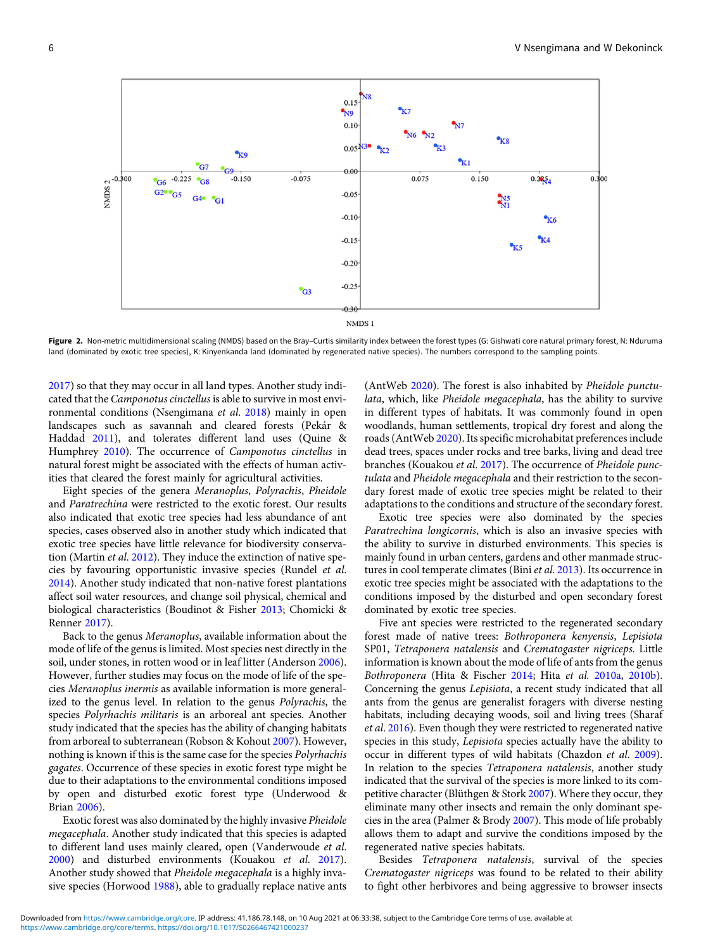<span id="page-5-0"></span>

Figure 2. Non-metric multidimensional scaling (NMDS) based on the Bray-Curtis similarity index between the forest types (G: Gishwati core natural primary forest, N: Nduruma land (dominated by exotic tree species), K: Kinyenkanda land (dominated by regenerated native species). The numbers correspond to the sampling points.

[2017\)](#page-9-0) so that they may occur in all land types. Another study indicated that the Camponotus cinctellus is able to survive in most environmental conditions (Nsengimana et al. [2018\)](#page-8-0) mainly in open landscapes such as savannah and cleared forests (Pekár & Haddad [2011](#page-8-0)), and tolerates different land uses (Quine & Humphrey [2010\)](#page-8-0). The occurrence of *Camponotus cinctellus* in natural forest might be associated with the effects of human activities that cleared the forest mainly for agricultural activities.

Eight species of the genera Meranoplus, Polyrachis, Pheidole and Paratrechina were restricted to the exotic forest. Our results also indicated that exotic tree species had less abundance of ant species, cases observed also in another study which indicated that exotic tree species have little relevance for biodiversity conservation (Martin et al. [2012](#page-8-0)). They induce the extinction of native species by favouring opportunistic invasive species (Rundel et al. [2014\)](#page-8-0). Another study indicated that non-native forest plantations affect soil water resources, and change soil physical, chemical and biological characteristics (Boudinot & Fisher [2013](#page-7-0); Chomicki & Renner [2017](#page-7-0)).

Back to the genus Meranoplus, available information about the mode of life of the genus is limited. Most species nest directly in the soil, under stones, in rotten wood or in leaf litter (Anderson [2006](#page-6-0)). However, further studies may focus on the mode of life of the species Meranoplus inermis as available information is more generalized to the genus level. In relation to the genus Polyrachis, the species Polyrhachis militaris is an arboreal ant species. Another study indicated that the species has the ability of changing habitats from arboreal to subterranean (Robson & Kohout [2007](#page-8-0)). However, nothing is known if this is the same case for the species Polyrhachis gagates. Occurrence of these species in exotic forest type might be due to their adaptations to the environmental conditions imposed by open and disturbed exotic forest type (Underwood & Brian [2006](#page-9-0)).

Exotic forest was also dominated by the highly invasive Pheidole megacephala. Another study indicated that this species is adapted to different land uses mainly cleared, open (Vanderwoude et al. [2000\)](#page-9-0) and disturbed environments (Kouakou et al. [2017](#page-8-0)). Another study showed that Pheidole megacephala is a highly invasive species (Horwood [1988](#page-7-0)), able to gradually replace native ants (AntWeb [2020](#page-6-0)). The forest is also inhabited by Pheidole punctulata, which, like Pheidole megacephala, has the ability to survive in different types of habitats. It was commonly found in open woodlands, human settlements, tropical dry forest and along the roads (AntWeb [2020\)](#page-6-0). Its specific microhabitat preferences include dead trees, spaces under rocks and tree barks, living and dead tree branches (Kouakou et al. [2017](#page-8-0)). The occurrence of Pheidole punctulata and Pheidole megacephala and their restriction to the secondary forest made of exotic tree species might be related to their adaptations to the conditions and structure of the secondary forest.

Exotic tree species were also dominated by the species Paratrechina longicornis, which is also an invasive species with the ability to survive in disturbed environments. This species is mainly found in urban centers, gardens and other manmade structures in cool temperate climates (Bini et al. [2013\)](#page-6-0). Its occurrence in exotic tree species might be associated with the adaptations to the conditions imposed by the disturbed and open secondary forest dominated by exotic tree species.

Five ant species were restricted to the regenerated secondary forest made of native trees: Bothroponera kenyensis, Lepisiota SP01, Tetraponera natalensis and Crematogaster nigriceps. Little information is known about the mode of life of ants from the genus Bothroponera (Hita & Fischer [2014](#page-7-0); Hita et al. [2010a,](#page-7-0) [2010b](#page-7-0)). Concerning the genus Lepisiota, a recent study indicated that all ants from the genus are generalist foragers with diverse nesting habitats, including decaying woods, soil and living trees (Sharaf et al. [2016](#page-8-0)). Even though they were restricted to regenerated native species in this study, Lepisiota species actually have the ability to occur in different types of wild habitats (Chazdon et al. [2009](#page-7-0)). In relation to the species Tetraponera natalensis, another study indicated that the survival of the species is more linked to its competitive character (Blüthgen & Stork [2007](#page-6-0)). Where they occur, they eliminate many other insects and remain the only dominant species in the area (Palmer & Brody [2007\)](#page-8-0). This mode of life probably allows them to adapt and survive the conditions imposed by the regenerated native species habitats.

Besides Tetraponera natalensis, survival of the species Crematogaster nigriceps was found to be related to their ability to fight other herbivores and being aggressive to browser insects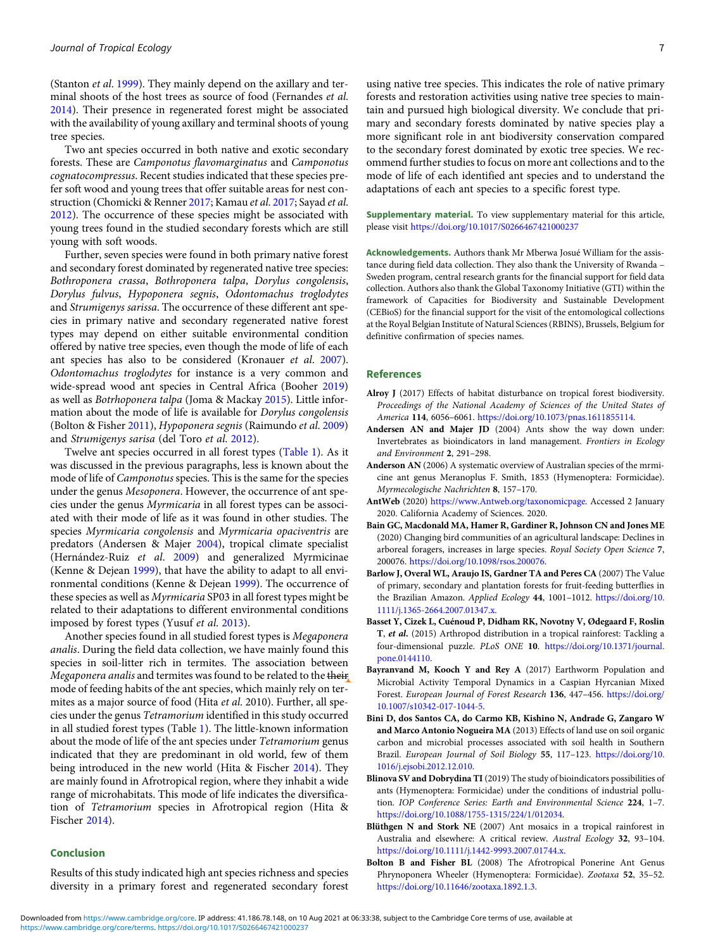<span id="page-6-0"></span>(Stanton et al. [1999\)](#page-8-0). They mainly depend on the axillary and terminal shoots of the host trees as source of food (Fernandes et al. [2014](#page-7-0)). Their presence in regenerated forest might be associated with the availability of young axillary and terminal shoots of young tree species.

Two ant species occurred in both native and exotic secondary forests. These are Camponotus flavomarginatus and Camponotus cognatocompressus. Recent studies indicated that these species prefer soft wood and young trees that offer suitable areas for nest construction (Chomicki & Renner [2017;](#page-7-0) Kamau et al. [2017](#page-7-0); Sayad et al. [2012](#page-8-0)). The occurrence of these species might be associated with young trees found in the studied secondary forests which are still young with soft woods.

Further, seven species were found in both primary native forest and secondary forest dominated by regenerated native tree species: Bothroponera crassa, Bothroponera talpa, Dorylus congolensis, Dorylus fulvus, Hypoponera segnis, Odontomachus troglodytes and Strumigenys sarissa. The occurrence of these different ant species in primary native and secondary regenerated native forest types may depend on either suitable environmental condition offered by native tree species, even though the mode of life of each ant species has also to be considered (Kronauer et al. [2007\)](#page-8-0). Odontomachus troglodytes for instance is a very common and wide-spread wood ant species in Central Africa (Booher [2019\)](#page-7-0) as well as Botrhoponera talpa (Joma & Mackay [2015](#page-7-0)). Little information about the mode of life is available for Dorylus congolensis (Bolton & Fisher [2011](#page-7-0)), Hypoponera segnis (Raimundo et al. [2009\)](#page-8-0) and Strumigenys sarisa (del Toro et al. [2012](#page-7-0)).

Twelve ant species occurred in all forest types [\(Table 1\)](#page-4-0). As it was discussed in the previous paragraphs, less is known about the mode of life of Camponotus species. This is the same for the species under the genus Mesoponera. However, the occurrence of ant species under the genus Myrmicaria in all forest types can be associated with their mode of life as it was found in other studies. The species Myrmicaria congolensis and Myrmicaria opaciventris are predators (Andersen & Majer 2004), tropical climate specialist (Hernández-Ruiz et al. [2009](#page-7-0)) and generalized Myrmicinae (Kenne & Dejean [1999](#page-8-0)), that have the ability to adapt to all environmental conditions (Kenne & Dejean [1999\)](#page-8-0). The occurrence of these species as well as Myrmicaria SP03 in all forest types might be related to their adaptations to different environmental conditions imposed by forest types (Yusuf et al. [2013\)](#page-9-0).

Another species found in all studied forest types is Megaponera analis. During the field data collection, we have mainly found this species in soil-litter rich in termites. The association between Megaponera analis and termites was found to be related to the their mode of feeding habits of the ant species, which mainly rely on termites as a major source of food (Hita et al. 2010). Further, all species under the genus Tetramorium identified in this study occurred in all studied forest types (Table [1](#page-4-0)). The little-known information about the mode of life of the ant species under Tetramorium genus indicated that they are predominant in old world, few of them being introduced in the new world (Hita & Fischer [2014](#page-7-0)). They are mainly found in Afrotropical region, where they inhabit a wide range of microhabitats. This mode of life indicates the diversification of Tetramorium species in Afrotropical region (Hita & Fischer [2014](#page-7-0)).

#### Conclusion

Results of this study indicated high ant species richness and species diversity in a primary forest and regenerated secondary forest using native tree species. This indicates the role of native primary forests and restoration activities using native tree species to maintain and pursued high biological diversity. We conclude that primary and secondary forests dominated by native species play a more significant role in ant biodiversity conservation compared to the secondary forest dominated by exotic tree species. We recommend further studies to focus on more ant collections and to the mode of life of each identified ant species and to understand the adaptations of each ant species to a specific forest type.

Supplementary material. To view supplementary material for this article, please visit <https://doi.org/10.1017/S0266467421000237>

Acknowledgements. Authors thank Mr Mberwa Josué William for the assistance during field data collection. They also thank the University of Rwanda – Sweden program, central research grants for the financial support for field data collection. Authors also thank the Global Taxonomy Initiative (GTI) within the framework of Capacities for Biodiversity and Sustainable Development (CEBioS) for the financial support for the visit of the entomological collections at the Royal Belgian Institute of Natural Sciences (RBINS), Brussels, Belgium for definitive confirmation of species names.

## References

- Alroy J (2017) Effects of habitat disturbance on tropical forest biodiversity. Proceedings of the National Academy of Sciences of the United States of America 114, 6056–6061. <https://doi.org/10.1073/pnas.1611855114>.
- Andersen AN and Majer JD (2004) Ants show the way down under: Invertebrates as bioindicators in land management. Frontiers in Ecology and Environment 2, 291–298.
- Anderson AN (2006) A systematic overview of Australian species of the mrmicine ant genus Meranoplus F. Smith, 1853 (Hymenoptera: Formicidae). Myrmecologische Nachrichten 8, 157–170.
- AntWeb (2020) [https://www.Antweb.org/taxonomicpage.](https://www. Antweb.org/taxonomicpage) Accessed 2 January 2020. California Academy of Sciences. 2020.
- Bain GC, Macdonald MA, Hamer R, Gardiner R, Johnson CN and Jones ME (2020) Changing bird communities of an agricultural landscape: Declines in arboreal foragers, increases in large species. Royal Society Open Science 7, 200076. [https://doi.org/10.1098/rsos.200076.](https://doi.org/10.1098/rsos.200076)
- Barlow J, Overal WL, Araujo IS, Gardner TA and Peres CA (2007) The Value of primary, secondary and plantation forests for fruit-feeding butterflies in the Brazilian Amazon. Applied Ecology 44, 1001–1012. [https://doi.org/10.](https://doi.org/10.1111/j.1365-2664.2007.01347.x) [1111/j.1365-2664.2007.01347.x](https://doi.org/10.1111/j.1365-2664.2007.01347.x).
- Basset Y, Cizek L, Cuénoud P, Didham RK, Novotny V, Ødegaard F, Roslin T, et al. (2015) Arthropod distribution in a tropical rainforest: Tackling a four-dimensional puzzle. PLoS ONE 10. [https://doi.org/10.1371/journal.](https://doi.org/10.1371/journal.pone.0144110) [pone.0144110](https://doi.org/10.1371/journal.pone.0144110).
- Bayranvand M, Kooch Y and Rey A (2017) Earthworm Population and Microbial Activity Temporal Dynamics in a Caspian Hyrcanian Mixed Forest. European Journal of Forest Research 136, 447–456. [https://doi.org/](https://doi.org/10.1007/s10342-017-1044-5) [10.1007/s10342-017-1044-5](https://doi.org/10.1007/s10342-017-1044-5).
- Bini D, dos Santos CA, do Carmo KB, Kishino N, Andrade G, Zangaro W and Marco Antonio Nogueira MA (2013) Effects of land use on soil organic carbon and microbial processes associated with soil health in Southern Brazil. European Journal of Soil Biology 55, 117–123. [https://doi.org/10.](https://doi.org/10.1016/j.ejsobi.2012.12.010) [1016/j.ejsobi.2012.12.010](https://doi.org/10.1016/j.ejsobi.2012.12.010).
- Blinova SV and Dobrydina TI(2019) The study of bioindicators possibilities of ants (Hymenoptera: Formicidae) under the conditions of industrial pollution. IOP Conference Series: Earth and Environmental Science 224, 1-7. [https://doi.org/10.1088/1755-1315/224/1/012034.](https://doi.org/10.1088/1755-1315/224/1/012034)
- Blüthgen N and Stork NE (2007) Ant mosaics in a tropical rainforest in Australia and elsewhere: A critical review. Austral Ecology 32, 93–104. [https://doi.org/10.1111/j.1442-9993.2007.01744.x.](https://doi.org/10.1111/j.1442-9993.2007.01744.x)
- Bolton B and Fisher BL (2008) The Afrotropical Ponerine Ant Genus Phrynoponera Wheeler (Hymenoptera: Formicidae). Zootaxa 52, 35–52. [https://doi.org/10.11646/zootaxa.1892.1.3.](https://doi.org/10.11646/zootaxa.1892.1.3)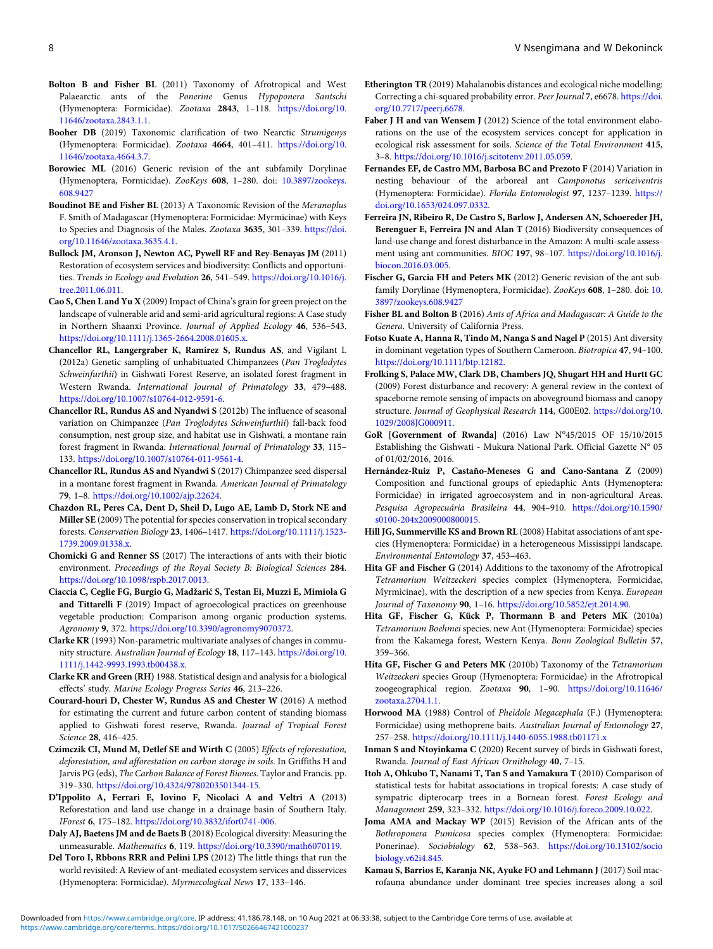- <span id="page-7-0"></span>Bolton B and Fisher BL (2011) Taxonomy of Afrotropical and West Palaearctic ants of the Ponerine Genus Hypoponera Santschi (Hymenoptera: Formicidae). Zootaxa 2843, 1–118. [https://doi.org/10.](https://doi.org/10.11646/zootaxa.2843.1.1) [11646/zootaxa.2843.1.1.](https://doi.org/10.11646/zootaxa.2843.1.1)
- Booher DB (2019) Taxonomic clarification of two Nearctic Strumigenys (Hymenoptera: Formicidae). Zootaxa 4664, 401–411. [https://doi.org/10.](https://doi.org/10.11646/zootaxa.4664.3.7) [11646/zootaxa.4664.3.7.](https://doi.org/10.11646/zootaxa.4664.3.7)
- Borowiec ML (2016) Generic revision of the ant subfamily Dorylinae (Hymenoptera, Formicidae). ZooKeys 608, 1–280. doi: [10.3897/zookeys.](https://doi.org/10.3897/zookeys.608.9427) [608.9427](https://doi.org/10.3897/zookeys.608.9427)
- Boudinot BE and Fisher BL (2013) A Taxonomic Revision of the Meranoplus F. Smith of Madagascar (Hymenoptera: Formicidae: Myrmicinae) with Keys to Species and Diagnosis of the Males. Zootaxa 3635, 301–339. [https://doi.](https://doi.org/10.11646/zootaxa.3635.4.1) [org/10.11646/zootaxa.3635.4.1](https://doi.org/10.11646/zootaxa.3635.4.1).
- Bullock JM, Aronson J, Newton AC, Pywell RF and Rey-Benayas JM (2011) Restoration of ecosystem services and biodiversity: Conflicts and opportunities. Trends in Ecology and Evolution 26, 541–549. [https://doi.org/10.1016/j.](https://doi.org/10.1016/j.tree.2011.06.011) [tree.2011.06.011](https://doi.org/10.1016/j.tree.2011.06.011).
- Cao S, Chen L and Yu X (2009) Impact of China's grain for green project on the landscape of vulnerable arid and semi-arid agricultural regions: A Case study in Northern Shaanxi Province. Journal of Applied Ecology 46, 536–543. <https://doi.org/10.1111/j.1365-2664.2008.01605.x>.
- Chancellor RL, Langergraber K, Ramirez S, Rundus AS, and Vigilant L (2012a) Genetic sampling of unhabituated Chimpanzees (Pan Troglodytes Schweinfurthii) in Gishwati Forest Reserve, an isolated forest fragment in Western Rwanda. International Journal of Primatology 33, 479–488. [https://doi.org/10.1007/s10764-012-9591-6.](https://doi.org/10.1007/s10764-012-9591-6)
- Chancellor RL, Rundus AS and Nyandwi S (2012b) The influence of seasonal variation on Chimpanzee (Pan Troglodytes Schweinfurthii) fall-back food consumption, nest group size, and habitat use in Gishwati, a montane rain forest fragment in Rwanda. International Journal of Primatology 33, 115– 133. <https://doi.org/10.1007/s10764-011-9561-4>.
- Chancellor RL, Rundus AS and Nyandwi S (2017) Chimpanzee seed dispersal in a montane forest fragment in Rwanda. American Journal of Primatology 79, 1–8. <https://doi.org/10.1002/ajp.22624>.
- Chazdon RL, Peres CA, Dent D, Sheil D, Lugo AE, Lamb D, Stork NE and Miller SE (2009) The potential for species conservation in tropical secondary forests. Conservation Biology 23, 1406–1417. [https://doi.org/10.1111/j.1523-](https://doi.org/10.1111/j.1523-1739.2009.01338.x) [1739.2009.01338.x](https://doi.org/10.1111/j.1523-1739.2009.01338.x).
- Chomicki G and Renner SS (2017) The interactions of ants with their biotic environment. Proceedings of the Royal Society B: Biological Sciences 284. [https://doi.org/10.1098/rspb.2017.0013.](https://doi.org/10.1098/rspb.2017.0013)
- Ciaccia C, Ceglie FG, Burgio G, Madžarić S, Testan Ei, Muzzi E, Mimiola G and Tittarelli F (2019) Impact of agroecological practices on greenhouse vegetable production: Comparison among organic production systems. Agronomy 9, 372. <https://doi.org/10.3390/agronomy9070372>.
- Clarke KR (1993) Non-parametric multivariate analyses of changes in community structure. Australian Journal of Ecology 18, 117–143. [https://doi.org/10.](https://doi.org/10.1111/j.1442-9993.1993.tb00438.x) [1111/j.1442-9993.1993.tb00438.x](https://doi.org/10.1111/j.1442-9993.1993.tb00438.x).
- Clarke KR and Green (RH) 1988. Statistical design and analysis for a biological effects' study. Marine Ecology Progress Series 46, 213–226.
- Courard-houri D, Chester W, Rundus AS and Chester W (2016) A method for estimating the current and future carbon content of standing biomass applied to Gishwati forest reserve, Rwanda. Journal of Tropical Forest Science 28, 416–425.
- Czimczik CI, Mund M, Detlef SE and Wirth C (2005) Effects of reforestation, deforestation, and afforestation on carbon storage in soils. In Griffiths H and Jarvis PG (eds), The Carbon Balance of Forest Biomes. Taylor and Francis. pp. 319–330. <https://doi.org/10.4324/9780203501344-15>.
- D'Ippolito A, Ferrari E, Iovino F, Nicolaci A and Veltri A (2013) Reforestation and land use change in a drainage basin of Southern Italy. IForest 6, 175–182. <https://doi.org/10.3832/ifor0741-006>.
- Daly AJ, Baetens JM and de Baets B (2018) Ecological diversity: Measuring the unmeasurable. Mathematics 6, 119. [https://doi.org/10.3390/math6070119.](https://doi.org/10.3390/math6070119)
- Del Toro I, Rbbons RRR and Pelini LPS (2012) The little things that run the world revisited: A Review of ant-mediated ecosystem services and disservices (Hymenoptera: Formicidae). Myrmecological News 17, 133–146.
- Etherington TR (2019) Mahalanobis distances and ecological niche modelling: Correcting a chi-squared probability error. Peer Journal 7, e6678. [https://doi.](https://doi.org/10.7717/peerj.6678) [org/10.7717/peerj.6678.](https://doi.org/10.7717/peerj.6678)
- Faber J H and van Wensem J (2012) Science of the total environment elaborations on the use of the ecosystem services concept for application in ecological risk assessment for soils. Science of the Total Environment 415, 3–8. <https://doi.org/10.1016/j.scitotenv.2011.05.059>.
- Fernandes EF, de Castro MM, Barbosa BC and Prezoto F (2014) Variation in nesting behaviour of the arboreal ant Camponotus sericeiventris (Hymenoptera: Formicidae). Florida Entomologist 97, 1237–1239. [https://](https://doi.org/10.1653/024.097.0332) [doi.org/10.1653/024.097.0332.](https://doi.org/10.1653/024.097.0332)
- Ferreira JN, Ribeiro R, De Castro S, Barlow J, Andersen AN, Schoereder JH, Berenguer E, Ferreira JN and Alan T (2016) Biodiversity consequences of land-use change and forest disturbance in the Amazon: A multi-scale assessment using ant communities. BIOC 197, 98–107. [https://doi.org/10.1016/j.](https://doi.org/10.1016/j.biocon.2016.03.005) [biocon.2016.03.005.](https://doi.org/10.1016/j.biocon.2016.03.005)
- Fischer G, Garcia FH and Peters MK (2012) Generic revision of the ant subfamily Dorylinae (Hymenoptera, Formicidae). ZooKeys 608, 1–280. doi: [10.](https://doi.org/10.3897/zookeys.608.9427) [3897/zookeys.608.9427](https://doi.org/10.3897/zookeys.608.9427)
- Fisher BL and Bolton B (2016) Ants of Africa and Madagascar: A Guide to the Genera. University of California Press.
- Fotso Kuate A, Hanna R, Tindo M, Nanga S and Nagel P (2015) Ant diversity in dominant vegetation types of Southern Cameroon. Biotropica 47, 94–100. <https://doi.org/10.1111/btp.12182>.
- Frolking S, Palace MW, Clark DB, Chambers JQ, Shugart HH and Hurtt GC (2009) Forest disturbance and recovery: A general review in the context of spaceborne remote sensing of impacts on aboveground biomass and canopy structure. Journal of Geophysical Research 114, G00E02. [https://doi.org/10.](https://doi.org/10.1029/2008JG000911) [1029/2008JG000911.](https://doi.org/10.1029/2008JG000911)
- GoR [Government of Rwanda] (2016) Law Nº45/2015 OF 15/10/2015 Establishing the Gishwati - Mukura National Park. Official Gazette N° 05 of 01/02/2016, 2016.
- Hernández-Ruiz P, Castaño-Meneses G and Cano-Santana Z (2009) Composition and functional groups of epiedaphic Ants (Hymenoptera: Formicidae) in irrigated agroecosystem and in non-agricultural Areas. Pesquisa Agropecuária Brasileira 44, 904–910. [https://doi.org/10.1590/](https://doi.org/10.1590/s0100-204x2009000800015) [s0100-204x2009000800015](https://doi.org/10.1590/s0100-204x2009000800015).
- Hill JG, Summerville KS and Brown RL (2008) Habitat associations of ant species (Hymenoptera: Formicidae) in a heterogeneous Mississippi landscape. Environmental Entomology 37, 453–463.
- Hita GF and Fischer G (2014) Additions to the taxonomy of the Afrotropical Tetramorium Weitzeckeri species complex (Hymenoptera, Formicidae, Myrmicinae), with the description of a new species from Kenya. European Journal of Taxonomy 90, 1–16. <https://doi.org/10.5852/ejt.2014.90>.
- Hita GF, Fischer G, Kück P, Thormann B and Peters MK (2010a) Tetramorium Boehmei species. new Ant (Hymenoptera: Formicidae) species from the Kakamega forest, Western Kenya. Bonn Zoological Bulletin 57, 359–366.
- Hita GF, Fischer G and Peters MK (2010b) Taxonomy of the Tetramorium Weitzeckeri species Group (Hymenoptera: Formicidae) in the Afrotropical zoogeographical region. Zootaxa 90, 1–90. [https://doi.org/10.11646/](https://doi.org/10.11646/zootaxa.2704.1.1) [zootaxa.2704.1.1](https://doi.org/10.11646/zootaxa.2704.1.1).
- Horwood MA (1988) Control of Pheidole Megacephala (F.) (Hymenoptera: Formicidae) using methoprene baits. Australian Journal of Entomology 27, 257–258. <https://doi.org/10.1111/j.1440-6055.1988.tb01171.x>
- Inman S and Ntoyinkama C (2020) Recent survey of birds in Gishwati forest, Rwanda. Journal of East African Ornithology 40, 7–15.
- Itoh A, Ohkubo T, Nanami T, Tan S and Yamakura T (2010) Comparison of statistical tests for habitat associations in tropical forests: A case study of sympatric dipterocarp trees in a Bornean forest. Forest Ecology and Management 259, 323–332. <https://doi.org/10.1016/j.foreco.2009.10.022>.
- Joma AMA and Mackay WP (2015) Revision of the African ants of the Bothroponera Pumicosa species complex (Hymenoptera: Formicidae: Ponerinae). Sociobiology 62, 538–563. [https://doi.org/10.13102/socio](https://doi.org/10.13102/sociobiology.v62i4.845) [biology.v62i4.845](https://doi.org/10.13102/sociobiology.v62i4.845).
- Kamau S, Barrios E, Karanja NK, Ayuke FO and Lehmann J (2017) Soil macrofauna abundance under dominant tree species increases along a soil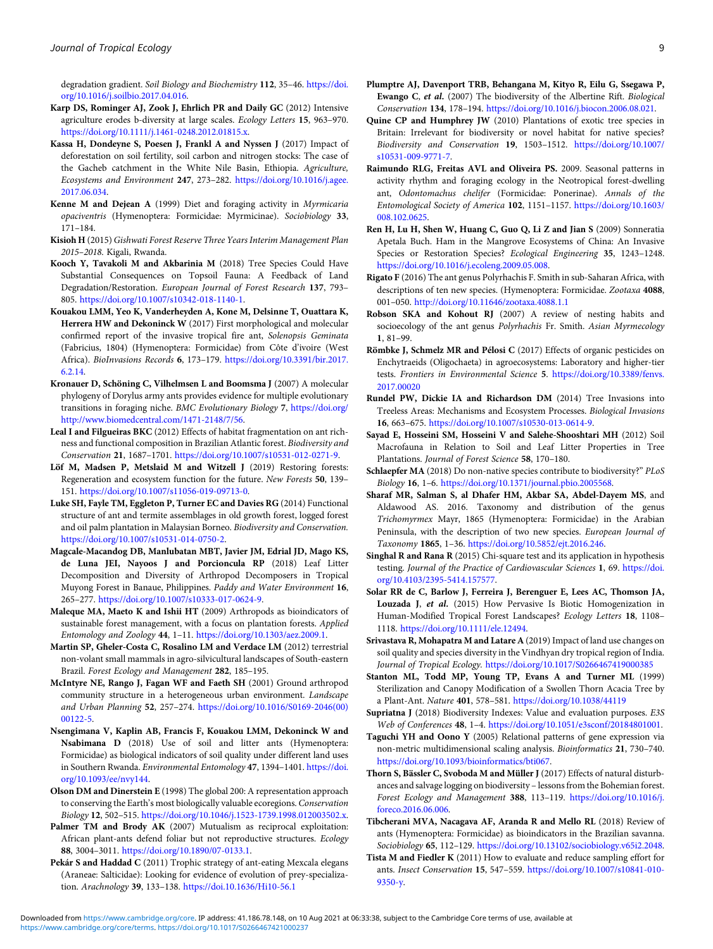<span id="page-8-0"></span>degradation gradient. Soil Biology and Biochemistry 112, 35–46. [https://doi.](https://doi.org/10.1016/j.soilbio.2017.04.016) [org/10.1016/j.soilbio.2017.04.016.](https://doi.org/10.1016/j.soilbio.2017.04.016)

- Karp DS, Rominger AJ, Zook J, Ehrlich PR and Daily GC (2012) Intensive agriculture erodes b-diversity at large scales. Ecology Letters 15, 963–970. [https://doi.org/10.1111/j.1461-0248.2012.01815.x.](https://doi.org/10.1111/j.1461-0248.2012.01815.x)
- Kassa H, Dondeyne S, Poesen J, Frankl A and Nyssen J (2017) Impact of deforestation on soil fertility, soil carbon and nitrogen stocks: The case of the Gacheb catchment in the White Nile Basin, Ethiopia. Agriculture, Ecosystems and Environment 247, 273–282. [https://doi.org/10.1016/j.agee.](https://doi.org/10.1016/j.agee.2017.06.034) [2017.06.034.](https://doi.org/10.1016/j.agee.2017.06.034)
- Kenne M and Dejean A (1999) Diet and foraging activity in Myrmicaria opaciventris (Hymenoptera: Formicidae: Myrmicinae). Sociobiology 33, 171–184.
- Kisioh H (2015) Gishwati Forest Reserve Three Years Interim Management Plan 2015–2018. Kigali, Rwanda.
- Kooch Y, Tavakoli M and Akbarinia M (2018) Tree Species Could Have Substantial Consequences on Topsoil Fauna: A Feedback of Land Degradation/Restoration. European Journal of Forest Research 137, 793-805. <https://doi.org/10.1007/s10342-018-1140-1>.
- Kouakou LMM, Yeo K, Vanderheyden A, Kone M, Delsinne T, Ouattara K, Herrera HW and Dekoninck W (2017) First morphological and molecular confirmed report of the invasive tropical fire ant, Solenopsis Geminata (Fabricius, 1804) (Hymenoptera: Formicidae) from Côte d'ivoire (West Africa). BioInvasions Records 6, 173–179. [https://doi.org/10.3391/bir.2017.](https://doi.org/10.3391/bir.2017.6.2.14) [6.2.14.](https://doi.org/10.3391/bir.2017.6.2.14)
- Kronauer D, Schöning C, Vilhelmsen L and Boomsma J (2007) A molecular phylogeny of Dorylus army ants provides evidence for multiple evolutionary transitions in foraging niche. BMC Evolutionary Biology 7, [https://doi.org/](https://doi.org/http://www.biomedcentral.com/1471-2148/7/56) [http://www.biomedcentral.com/1471-2148/7/56.](https://doi.org/http://www.biomedcentral.com/1471-2148/7/56)
- Leal I and Filgueiras BKC (2012) Effects of habitat fragmentation on ant richness and functional composition in Brazilian Atlantic forest. Biodiversity and Conservation 21, 1687–1701. <https://doi.org/10.1007/s10531-012-0271-9>.
- Löf M, Madsen P, Metslaid M and Witzell J (2019) Restoring forests: Regeneration and ecosystem function for the future. New Forests 50, 139– 151. [https://doi.org/10.1007/s11056-019-09713-0.](https://doi.org/10.1007/s11056-019-09713-0)
- Luke SH, Fayle TM, Eggleton P, Turner EC and Davies RG (2014) Functional structure of ant and termite assemblages in old growth forest, logged forest and oil palm plantation in Malaysian Borneo. Biodiversity and Conservation. <https://doi.org/10.1007/s10531-014-0750-2>.
- Magcale-Macandog DB, Manlubatan MBT, Javier JM, Edrial JD, Mago KS, de Luna JEI, Nayoos J and Porcioncula RP (2018) Leaf Litter Decomposition and Diversity of Arthropod Decomposers in Tropical Muyong Forest in Banaue, Philippines. Paddy and Water Environment 16, 265–277. [https://doi.org/10.1007/s10333-017-0624-9.](https://doi.org/10.1007/s10333-017-0624-9)
- Maleque MA, Maeto K and Ishii HT (2009) Arthropods as bioindicators of sustainable forest management, with a focus on plantation forests. Applied Entomology and Zoology 44, 1–11. <https://doi.org/10.1303/aez.2009.1>.
- Martin SP, Gheler-Costa C, Rosalino LM and Verdace LM (2012) terrestrial non-volant small mammals in agro-silvicultural landscapes of South-eastern Brazil. Forest Ecology and Management 282, 185–195.
- McIntyre NE, Rango J, Fagan WF and Faeth SH (2001) Ground arthropod community structure in a heterogeneous urban environment. Landscape and Urban Planning 52, 257–274. [https://doi.org/10.1016/S0169-2046\(00\)](https://doi.org/10.1016/S0169-2046(00)00122-5) [00122-5.](https://doi.org/10.1016/S0169-2046(00)00122-5)
- Nsengimana V, Kaplin AB, Francis F, Kouakou LMM, Dekoninck W and Nsabimana D (2018) Use of soil and litter ants (Hymenoptera: Formicidae) as biological indicators of soil quality under different land uses in Southern Rwanda. Environmental Entomology 47, 1394–1401. [https://doi.](https://doi.org/10.1093/ee/nvy144) [org/10.1093/ee/nvy144.](https://doi.org/10.1093/ee/nvy144)
- Olson DM and Dinerstein E (1998) The global 200: A representation approach to conserving the Earth's most biologically valuable ecoregions. Conservation Biology 12, 502–515. <https://doi.org/10.1046/j.1523-1739.1998.012003502.x>.
- Palmer TM and Brody AK (2007) Mutualism as reciprocal exploitation: African plant-ants defend foliar but not reproductive structures. Ecology 88, 3004–3011. [https://doi.org/10.1890/07-0133.1.](https://doi.org/10.1890/07-0133.1)
- Pekár S and Haddad C (2011) Trophic strategy of ant-eating Mexcala elegans (Araneae: Salticidae): Looking for evidence of evolution of prey-specialization. Arachnology 39, 133–138. <https://doi.10.1636/Hi10-56.1>
- Plumptre AJ, Davenport TRB, Behangana M, Kityo R, Eilu G, Ssegawa P, Ewango C, et al. (2007) The biodiversity of the Albertine Rift. Biological Conservation 134, 178–194. [https://doi.org/10.1016/j.biocon.2006.08.021.](https://doi.org/10.1016/j.biocon.2006.08.021)
- Quine CP and Humphrey JW (2010) Plantations of exotic tree species in Britain: Irrelevant for biodiversity or novel habitat for native species? Biodiversity and Conservation 19, 1503–1512. [https://doi.org/10.1007/](https://doi.org/10.1007/s10531-009-9771-7) [s10531-009-9771-7](https://doi.org/10.1007/s10531-009-9771-7).
- Raimundo RLG, Freitas AVL and Oliveira PS. 2009. Seasonal patterns in activity rhythm and foraging ecology in the Neotropical forest-dwelling ant, Odontomachus chelifer (Formicidae: Ponerinae). Annals of the Entomological Society of America 102, 1151–1157. [https://doi.org/10.1603/](https://doi.org/10.1603/008.102.0625) [008.102.0625.](https://doi.org/10.1603/008.102.0625)
- Ren H, Lu H, Shen W, Huang C, Guo Q, Li Z and Jian S (2009) Sonneratia Apetala Buch. Ham in the Mangrove Ecosystems of China: An Invasive Species or Restoration Species? Ecological Engineering 35, 1243–1248. [https://doi.org/10.1016/j.ecoleng.2009.05.008.](https://doi.org/10.1016/j.ecoleng.2009.05.008)
- Rigato F (2016) The ant genus Polyrhachis F. Smith in sub-Saharan Africa, with descriptions of ten new species. (Hymenoptera: Formicidae. Zootaxa 4088, 001–050. <http://doi.org/10.11646/zootaxa.4088.1.1>
- Robson SKA and Kohout RJ (2007) A review of nesting habits and socioecology of the ant genus Polyrhachis Fr. Smith. Asian Myrmecology 1, 81–99.
- Römbke J, Schmelz MR and Pélosi C (2017) Effects of organic pesticides on Enchytraeids (Oligochaeta) in agroecosystems: Laboratory and higher-tier tests. Frontiers in Environmental Science 5. [https://doi.org/10.3389/fenvs.](https://doi.org/10.3389/fenvs.2017.00020) [2017.00020](https://doi.org/10.3389/fenvs.2017.00020)
- Rundel PW, Dickie IA and Richardson DM (2014) Tree Invasions into Treeless Areas: Mechanisms and Ecosystem Processes. Biological Invasions 16, 663–675. [https://doi.org/10.1007/s10530-013-0614-9.](https://doi.org/10.1007/s10530-013-0614-9)
- Sayad E, Hosseini SM, Hosseini V and Salehe-Shooshtari MH (2012) Soil Macrofauna in Relation to Soil and Leaf Litter Properties in Tree Plantations. Journal of Forest Science 58, 170–180.
- Schlaepfer MA (2018) Do non-native species contribute to biodiversity?" PLoS Biology 16, 1–6. [https://doi.org/10.1371/journal.pbio.2005568.](https://doi.org/10.1371/journal.pbio.2005568)
- Sharaf MR, Salman S, al Dhafer HM, Akbar SA, Abdel-Dayem MS, and Aldawood AS. 2016. Taxonomy and distribution of the genus Trichomyrmex Mayr, 1865 (Hymenoptera: Formicidae) in the Arabian Peninsula, with the description of two new species. European Journal of Taxonomy 1865, 1–36. <https://doi.org/10.5852/ejt.2016.246>.
- Singhal R and Rana R (2015) Chi-square test and its application in hypothesis testing. Journal of the Practice of Cardiovascular Sciences 1, 69. [https://doi.](https://doi.org/10.4103/2395-5414.157577) [org/10.4103/2395-5414.157577](https://doi.org/10.4103/2395-5414.157577).
- Solar RR de C, Barlow J, Ferreira J, Berenguer E, Lees AC, Thomson JA, Louzada J, et al. (2015) How Pervasive Is Biotic Homogenization in Human-Modified Tropical Forest Landscapes? Ecology Letters 18, 1108– 1118. <https://doi.org/10.1111/ele.12494>.
- Srivastava R, Mohapatra M and Latare A (2019) Impact of land use changes on soil quality and species diversity in the Vindhyan dry tropical region of India. Journal of Tropical Ecology. <https://doi.org/10.1017/S0266467419000385>
- Stanton ML, Todd MP, Young TP, Evans A and Turner ML (1999) Sterilization and Canopy Modification of a Swollen Thorn Acacia Tree by a Plant-Ant. Nature 401, 578–581. <https://doi.org/10.1038/44119>
- Supriatna J (2018) Biodiversity Indexes: Value and evaluation purposes. E3S Web of Conferences 48, 1–4. [https://doi.org/10.1051/e3sconf/20184801001.](https://doi.org/10.1051/e3sconf/20184801001)
- Taguchi YH and Oono Y (2005) Relational patterns of gene expression via non-metric multidimensional scaling analysis. Bioinformatics 21, 730–740. <https://doi.org/10.1093/bioinformatics/bti067>.
- Thorn S, Bässler C, Svoboda M and Müller J (2017) Effects of natural disturbances and salvage logging on biodiversity – lessons from the Bohemian forest. Forest Ecology and Management 388, 113–119. [https://doi.org/10.1016/j.](https://doi.org/10.1016/j.foreco.2016.06.006) [foreco.2016.06.006](https://doi.org/10.1016/j.foreco.2016.06.006).
- Tibcherani MVA, Nacagava AF, Aranda R and Mello RL (2018) Review of ants (Hymenoptera: Formicidae) as bioindicators in the Brazilian savanna. Sociobiology 65, 112–129. <https://doi.org/10.13102/sociobiology.v65i2.2048>.
- Tista M and Fiedler K (2011) How to evaluate and reduce sampling effort for ants. Insect Conservation 15, 547–559. [https://doi.org/10.1007/s10841-010-](https://doi.org/10.1007/s10841-010-9350-y) [9350-y.](https://doi.org/10.1007/s10841-010-9350-y)